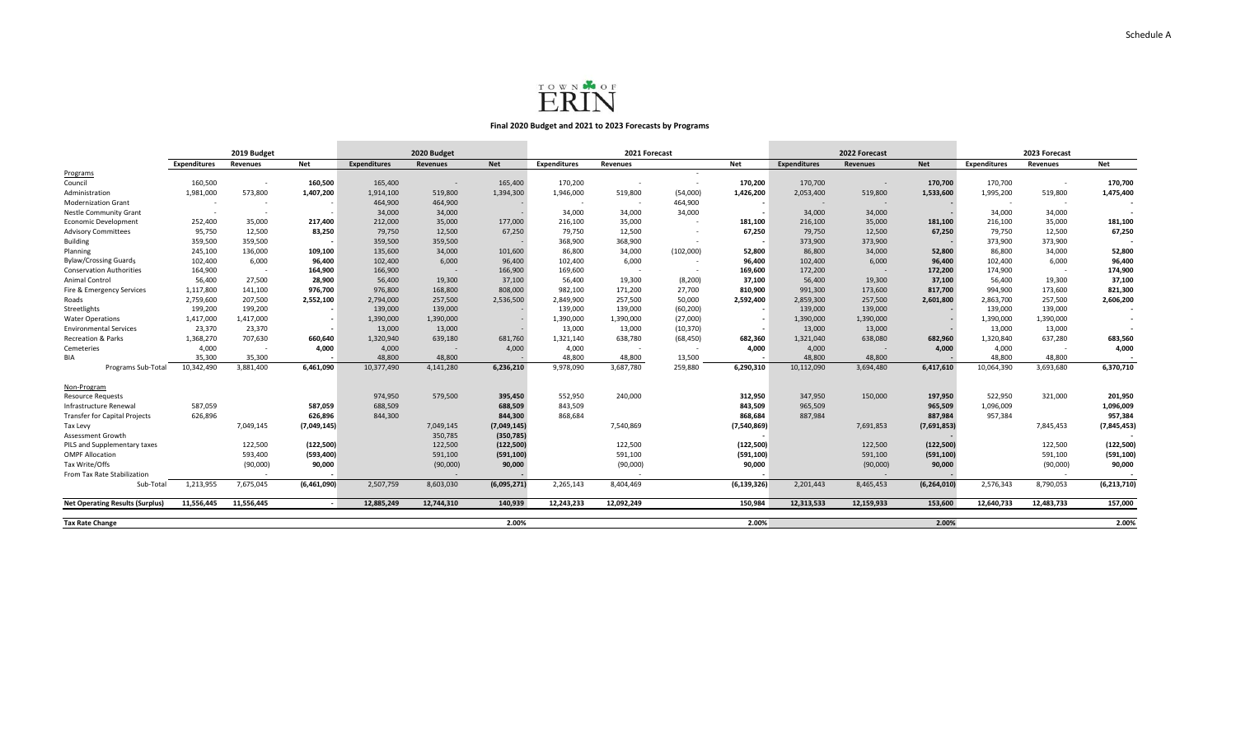

## **Final 2020 Budget and 2021 to 2023 Forecasts by Programs**

|                                        | 2019 Budget         |                          |                          | 2020 Budget         |                          |             | 2021 Forecast       |                 |           |               | 2022 Forecast            |                          |             | 2023 Forecast       |                          |             |
|----------------------------------------|---------------------|--------------------------|--------------------------|---------------------|--------------------------|-------------|---------------------|-----------------|-----------|---------------|--------------------------|--------------------------|-------------|---------------------|--------------------------|-------------|
|                                        | <b>Expenditures</b> | <b>Revenues</b>          | Net                      | <b>Expenditures</b> | <b>Revenues</b>          | <b>Net</b>  | <b>Expenditures</b> | <b>Revenues</b> |           | <b>Net</b>    | <b>Expenditures</b>      | <b>Revenues</b>          | <b>Net</b>  | <b>Expenditures</b> | <b>Revenues</b>          | <b>Net</b>  |
| Programs                               |                     |                          |                          |                     |                          |             |                     |                 | $\sim$    |               |                          |                          |             |                     |                          |             |
| Council                                | 160.500             | $\overline{\phantom{a}}$ | 160.500                  | 165,400             | $\overline{\phantom{a}}$ | 165,400     | 170,200             |                 | $\sim$    | 170.200       | 170,700                  |                          | 170.700     | 170,700             |                          | 170,700     |
| Administration                         | 1,981,000           | 573,800                  | 1,407,200                | 1,914,100           | 519,800                  | 1,394,300   | 1,946,000           | 519,800         | (54,000)  | 1,426,200     | 2,053,400                | 519,800                  | 1,533,600   | 1,995,200           | 519,800                  | 1,475,400   |
| <b>Modernization Grant</b>             | $\sim$              | $\overline{\phantom{a}}$ |                          | 464,900             | 464,900                  |             | $\sim$              | $\sim$          | 464,900   |               | $\overline{\phantom{a}}$ | $\overline{\phantom{a}}$ |             |                     | $\overline{\phantom{a}}$ |             |
| Nestle Community Grant                 |                     |                          |                          | 34,000              | 34,000                   |             | 34.000              | 34.000          | 34,000    |               | 34,000                   | 34,000                   |             | 34,000              | 34.000                   |             |
| <b>Economic Development</b>            | 252,400             | 35,000                   | 217,400                  | 212,000             | 35,000                   | 177,000     | 216,100             | 35,000          |           | 181,100       | 216,100                  | 35,000                   | 181,100     | 216,100             | 35,000                   | 181,100     |
| <b>Advisory Committees</b>             | 95,750              | 12,500                   | 83,250                   | 79,750              | 12,500                   | 67,250      | 79,750              | 12,500          |           | 67,250        | 79,750                   | 12,500                   | 67,250      | 79,750              | 12,500                   | 67,250      |
| <b>Building</b>                        | 359,500             | 359,500                  |                          | 359,500             | 359,500                  |             | 368,900             | 368,900         |           |               | 373,900                  | 373,900                  |             | 373,900             | 373,900                  |             |
| Planning                               | 245,100             | 136,000                  | 109,100                  | 135,600             | 34,000                   | 101,600     | 86,800              | 34,000          | (102,000) | 52,800        | 86,800                   | 34,000                   | 52,800      | 86,800              | 34,000                   | 52,800      |
| <b>Bylaw/Crossing Guards</b>           | 102,400             | 6,000                    | 96,400                   | 102,400             | 6,000                    | 96,400      | 102,400             | 6,000           | $\sim$    | 96,400        | 102,400                  | 6,000                    | 96,400      | 102,400             | 6,000                    | 96,400      |
| <b>Conservation Authorities</b>        | 164,900             | $\overline{\phantom{a}}$ | 164,900                  | 166,900             | $\sim$                   | 166,900     | 169,600             | $\sim$          |           | 169,600       | 172,200                  |                          | 172,200     | 174,900             | $\overline{\phantom{a}}$ | 174,900     |
| Animal Control                         | 56,400              | 27,500                   | 28,900                   | 56,400              | 19,300                   | 37,100      | 56,400              | 19,300          | (8, 200)  | 37,100        | 56,400                   | 19,300                   | 37,100      | 56,400              | 19,300                   | 37,100      |
| Fire & Emergency Services              | 1,117,800           | 141,100                  | 976,700                  | 976,800             | 168,800                  | 808,000     | 982,100             | 171,200         | 27,700    | 810,900       | 991,300                  | 173,600                  | 817,700     | 994,900             | 173,600                  | 821,300     |
| Roads                                  | 2,759,600           | 207,500                  | 2.552.100                | 2,794,000           | 257,500                  | 2,536,500   | 2,849,900           | 257,500         | 50.000    | 2,592,400     | 2,859,300                | 257,500                  | 2.601.800   | 2,863,700           | 257,500                  | 2,606,200   |
| Streetlights                           | 199,200             | 199,200                  |                          | 139,000             | 139,000                  |             | 139,000             | 139,000         | (60, 200) |               | 139,000                  | 139,000                  |             | 139,000             | 139,000                  |             |
| <b>Water Operations</b>                | 1,417,000           | 1,417,000                |                          | 1,390,000           | 1,390,000                |             | 1,390,000           | 1,390,000       | (27,000)  |               | 1,390,000                | 1,390,000                |             | 1,390,000           | 1,390,000                | $\sim$      |
| <b>Environmental Services</b>          | 23,370              | 23,370                   |                          | 13,000              | 13,000                   |             | 13,000              | 13,000          | (10, 370) |               | 13,000                   | 13,000                   |             | 13,000              | 13,000                   |             |
| <b>Recreation &amp; Parks</b>          | 1,368,270           | 707,630                  | 660,640                  | 1,320,940           | 639,180                  | 681,760     | 1,321,140           | 638,780         | (68, 450) | 682,360       | 1,321,040                | 638,080                  | 682,960     | 1,320,840           | 637,280                  | 683,560     |
| Cemeteries                             | 4,000               | $\overline{\phantom{a}}$ | 4,000                    | 4,000               | $\sim$                   | 4,000       | 4,000               | $\sim$          | $\sim$    | 4,000         | 4,000                    | $\sim$                   | 4.000       | 4,000               |                          | 4,000       |
| <b>BIA</b>                             | 35.300              | 35,300                   |                          | 48,800              | 48,800                   |             | 48.800              | 48,800          | 13,500    |               | 48,800                   | 48,800                   |             | 48.800              | 48,800                   |             |
| Programs Sub-Total                     | 10,342,490          | 3,881,400                | 6,461,090                | 10,377,490          | 4,141,280                | 6,236,210   | 9,978,090           | 3,687,780       | 259,880   | 6,290,310     | 10,112,090               | 3,694,480                | 6,417,610   | 10,064,390          | 3,693,680                | 6,370,710   |
| Non-Program                            |                     |                          |                          |                     |                          |             |                     |                 |           |               |                          |                          |             |                     |                          |             |
| <b>Resource Requests</b>               |                     |                          |                          | 974,950             | 579,500                  | 395,450     | 552,950             | 240,000         |           | 312,950       | 347,950                  | 150,000                  | 197,950     | 522,950             | 321.000                  | 201,950     |
| Infrastructure Renewal                 | 587,059             |                          | 587,059                  | 688,509             |                          | 688,509     | 843,509             |                 |           | 843,509       | 965,509                  |                          | 965,509     | 1,096,009           |                          | 1,096,009   |
| Transfer for Capital Projects          | 626,896             |                          | 626,896                  | 844,300             |                          | 844,300     | 868.684             |                 |           | 868,684       | 887,984                  |                          | 887,984     | 957,384             |                          | 957,384     |
| Tax Levy                               |                     | 7,049,145                | (7,049,145)              |                     | 7,049,145                | (7,049,145) |                     | 7,540,869       |           | (7,540,869)   |                          | 7,691,853                | (7,691,853) |                     | 7.845.453                | (7,845,453) |
| Assessment Growth                      |                     |                          |                          |                     | 350,785                  | (350, 785)  |                     |                 |           |               |                          |                          |             |                     |                          |             |
| PILS and Supplementary taxes           |                     | 122,500                  | (122, 500)               |                     | 122,500                  | (122, 500)  |                     | 122,500         |           | (122, 500)    |                          | 122,500                  | (122, 500)  |                     | 122,500                  | (122, 500)  |
| <b>OMPF Allocation</b>                 |                     | 593,400                  | (593, 400)               |                     | 591,100                  | (591, 100)  |                     | 591,100         |           | (591, 100)    |                          | 591,100                  | (591, 100)  |                     | 591,100                  | (591,100    |
| Tax Write/Offs                         |                     | (90,000)                 | 90,000                   |                     | (90,000)                 | 90,000      |                     | (90,000)        |           | 90,000        |                          | (90,000)                 | 90,000      |                     | (90,000)                 | 90,000      |
| From Tax Rate Stabilization            |                     |                          |                          |                     |                          |             |                     |                 |           |               |                          | $\sim$                   |             |                     |                          |             |
| Sub-Total                              | 1,213,955           | 7,675,045                | (6.461.090)              | 2.507.759           | 8,603,030                | (6,095,271) | 2.265.143           | 8,404,469       |           | (6, 139, 326) | 2.201.443                | 8,465,453                | (6.264.010) | 2.576.343           | 8.790.053                | (6,213,710) |
| <b>Net Operating Results (Surplus)</b> | 11,556,445          | 11,556,445               | $\overline{\phantom{a}}$ | 12,885,249          | 12,744,310               | 140,939     | 12,243,233          | 12,092,249      |           | 150,984       | 12,313,533               | 12,159,933               | 153,600     | 12,640,733          | 12,483,733               | 157,000     |
| <b>Tax Rate Change</b>                 |                     |                          |                          |                     |                          | 2.00%       |                     |                 |           | 2.00%         |                          |                          | 2.00%       |                     |                          | 2.00%       |